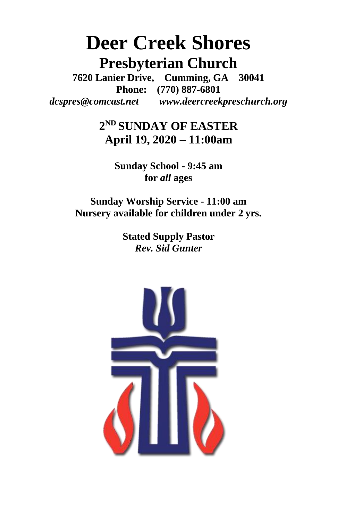# **Deer Creek Shores Presbyterian Church**

**7620 Lanier Drive, Cumming, GA 30041 Phone: (770) 887-6801** *[dcspres@comcast.net](mailto:dcspres@comcast.net) [www.deercreekpreschurch.org](http://www.deercreekpreschurch.org/)*

> **2 ND SUNDAY OF EASTER April 19, 2020 – 11:00am**

> > **Sunday School - 9:45 am for** *all* **ages**

**Sunday Worship Service - 11:00 am Nursery available for children under 2 yrs.**

> **Stated Supply Pastor** *Rev. Sid Gunter*

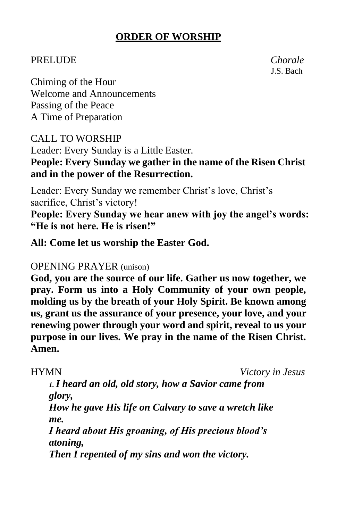# **ORDER OF WORSHIP**

#### PRELUDE *Chorale*

J.S. Bach

Chiming of the Hour Welcome and Announcements Passing of the Peace A Time of Preparation

#### CALL TO WORSHIP

Leader: Every Sunday is a Little Easter.

**People: Every Sunday we gather in the name of the Risen Christ and in the power of the Resurrection.**

Leader: Every Sunday we remember Christ's love, Christ's sacrifice, Christ's victory!

**People: Every Sunday we hear anew with joy the angel's words: "He is not here. He is risen!"**

**All: Come let us worship the Easter God.**

#### OPENING PRAYER (unison)

**God, you are the source of our life. Gather us now together, we pray. Form us into a Holy Community of your own people, molding us by the breath of your Holy Spirit. Be known among us, grant us the assurance of your presence, your love, and your renewing power through your word and spirit, reveal to us your purpose in our lives. We pray in the name of the Risen Christ. Amen.**

HYMN *Victory in Jesus*

*1. I heard an old, old story, how a Savior came from glory, How he gave His life on Calvary to save a wretch like me. I heard about His groaning, of His precious blood's atoning,*

*Then I repented of my sins and won the victory.*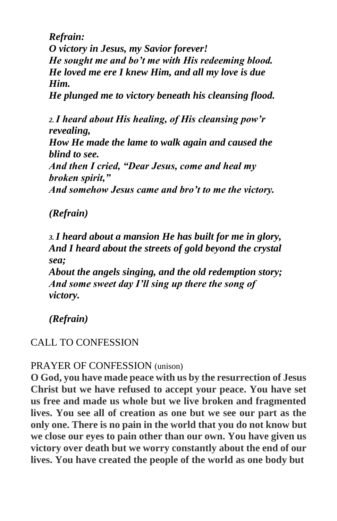*Refrain: O victory in Jesus, my Savior forever! He sought me and bo't me with His redeeming blood. He loved me ere I knew Him, and all my love is due Him. He plunged me to victory beneath his cleansing flood.*

*2. I heard about His healing, of His cleansing pow'r revealing, How He made the lame to walk again and caused the blind to see. And then I cried, "Dear Jesus, come and heal my broken spirit," And somehow Jesus came and bro't to me the victory.* 

*(Refrain)*

*3. I heard about a mansion He has built for me in glory, And I heard about the streets of gold beyond the crystal sea;*

*About the angels singing, and the old redemption story; And some sweet day I'll sing up there the song of victory.*

*(Refrain)*

# CALL TO CONFESSION

# PRAYER OF CONFESSION (unison)

**O God, you have made peace with us by the resurrection of Jesus Christ but we have refused to accept your peace. You have set us free and made us whole but we live broken and fragmented lives. You see all of creation as one but we see our part as the only one. There is no pain in the world that you do not know but we close our eyes to pain other than our own. You have given us victory over death but we worry constantly about the end of our lives. You have created the people of the world as one body but**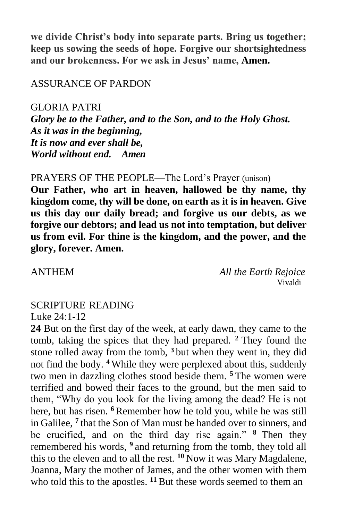**we divide Christ's body into separate parts. Bring us together; keep us sowing the seeds of hope. Forgive our shortsightedness and our brokenness. For we ask in Jesus' name, Amen.**

ASSURANCE OF PARDON

GLORIA PATRI

*Glory be to the Father, and to the Son, and to the Holy Ghost. As it was in the beginning, It is now and ever shall be, World without end. Amen*

PRAYERS OF THE PEOPLE—The Lord's Prayer (unison)

**Our Father, who art in heaven, hallowed be thy name, thy kingdom come, thy will be done, on earth as it is in heaven. Give us this day our daily bread; and forgive us our debts, as we forgive our debtors; and lead us not into temptation, but deliver us from evil. For thine is the kingdom, and the power, and the glory, forever. Amen.**

ANTHEM *All the Earth Rejoice* Vivaldi

# SCRIPTURE READING

#### Luke 24:1-12

**24** But on the first day of the week, at early dawn, they came to the tomb, taking the spices that they had prepared. **<sup>2</sup>**They found the stone rolled away from the tomb, **<sup>3</sup>**but when they went in, they did not find the body. **<sup>4</sup>**While they were perplexed about this, suddenly two men in dazzling clothes stood beside them. **<sup>5</sup>**The women were terrified and bowed their faces to the ground, but the men said to them, "Why do you look for the living among the dead? He is not here, but has risen. <sup>6</sup>Remember how he told you, while he was still in Galilee, **<sup>7</sup>** that the Son of Man must be handed over to sinners, and be crucified, and on the third day rise again." **<sup>8</sup>**Then they remembered his words, **<sup>9</sup>**and returning from the tomb, they told all this to the eleven and to all the rest. **<sup>10</sup>** Now it was Mary Magdalene, Joanna, Mary the mother of James, and the other women with them who told this to the apostles. <sup>11</sup> But these words seemed to them an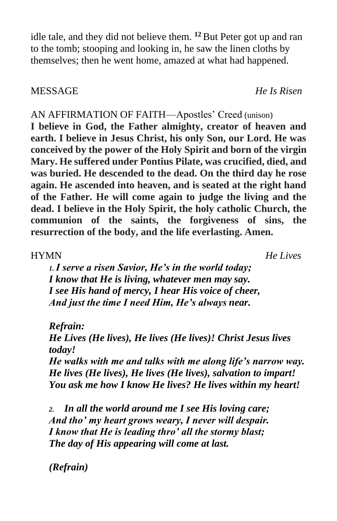idle tale, and they did not believe them. **<sup>12</sup>**But Peter got up and ran to the tomb; stooping and looking in, he saw the linen cloths by themselves; then he went home, amazed at what had happened.

### MESSAGE *He Is Risen*

AN AFFIRMATION OF FAITH—Apostles' Creed (unison)

**I believe in God, the Father almighty, creator of heaven and earth. I believe in Jesus Christ, his only Son, our Lord. He was conceived by the power of the Holy Spirit and born of the virgin Mary. He suffered under Pontius Pilate, was crucified, died, and was buried. He descended to the dead. On the third day he rose again. He ascended into heaven, and is seated at the right hand of the Father. He will come again to judge the living and the dead. I believe in the Holy Spirit, the holy catholic Church, the communion of the saints, the forgiveness of sins, the resurrection of the body, and the life everlasting. Amen.**

HYMN *He Lives*

*1. I serve a risen Savior, He's in the world today; I know that He is living, whatever men may say. I see His hand of mercy, I hear His voice of cheer, And just the time I need Him, He's always near.*

*Refrain: He Lives (He lives), He lives (He lives)! Christ Jesus lives today! He walks with me and talks with me along life's narrow way.* 

*He lives (He lives), He lives (He lives), salvation to impart! You ask me how I know He lives? He lives within my heart!*

*2. In all the world around me I see His loving care; And tho' my heart grows weary, I never will despair. I know that He is leading thro' all the stormy blast; The day of His appearing will come at last.*

*(Refrain)*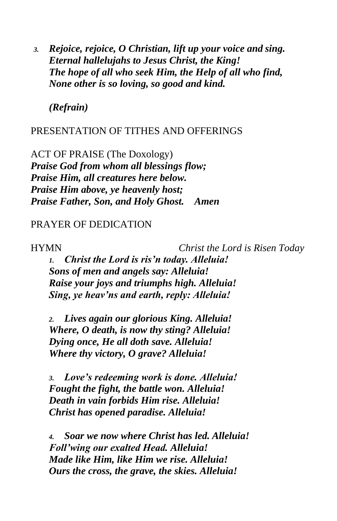*3. Rejoice, rejoice, O Christian, lift up your voice and sing. Eternal hallelujahs to Jesus Christ, the King! The hope of all who seek Him, the Help of all who find, None other is so loving, so good and kind.*

*(Refrain)*

#### PRESENTATION OF TITHES AND OFFERINGS

ACT OF PRAISE (The Doxology) *Praise God from whom all blessings flow; Praise Him, all creatures here below. Praise Him above, ye heavenly host; Praise Father, Son, and Holy Ghost. Amen*

#### PRAYER OF DEDICATION

HYMN *Christ the Lord is Risen Today*

*1. Christ the Lord is ris'n today. Alleluia! Sons of men and angels say: Alleluia! Raise your joys and triumphs high. Alleluia! Sing, ye heav'ns and earth, reply: Alleluia!*

*2. Lives again our glorious King. Alleluia! Where, O death, is now thy sting? Alleluia! Dying once, He all doth save. Alleluia! Where thy victory, O grave? Alleluia!*

*3. Love's redeeming work is done. Alleluia! Fought the fight, the battle won. Alleluia! Death in vain forbids Him rise. Alleluia! Christ has opened paradise. Alleluia!*

*4. Soar we now where Christ has led. Alleluia! Foll'wing our exalted Head. Alleluia! Made like Him, like Him we rise. Alleluia! Ours the cross, the grave, the skies. Alleluia!*